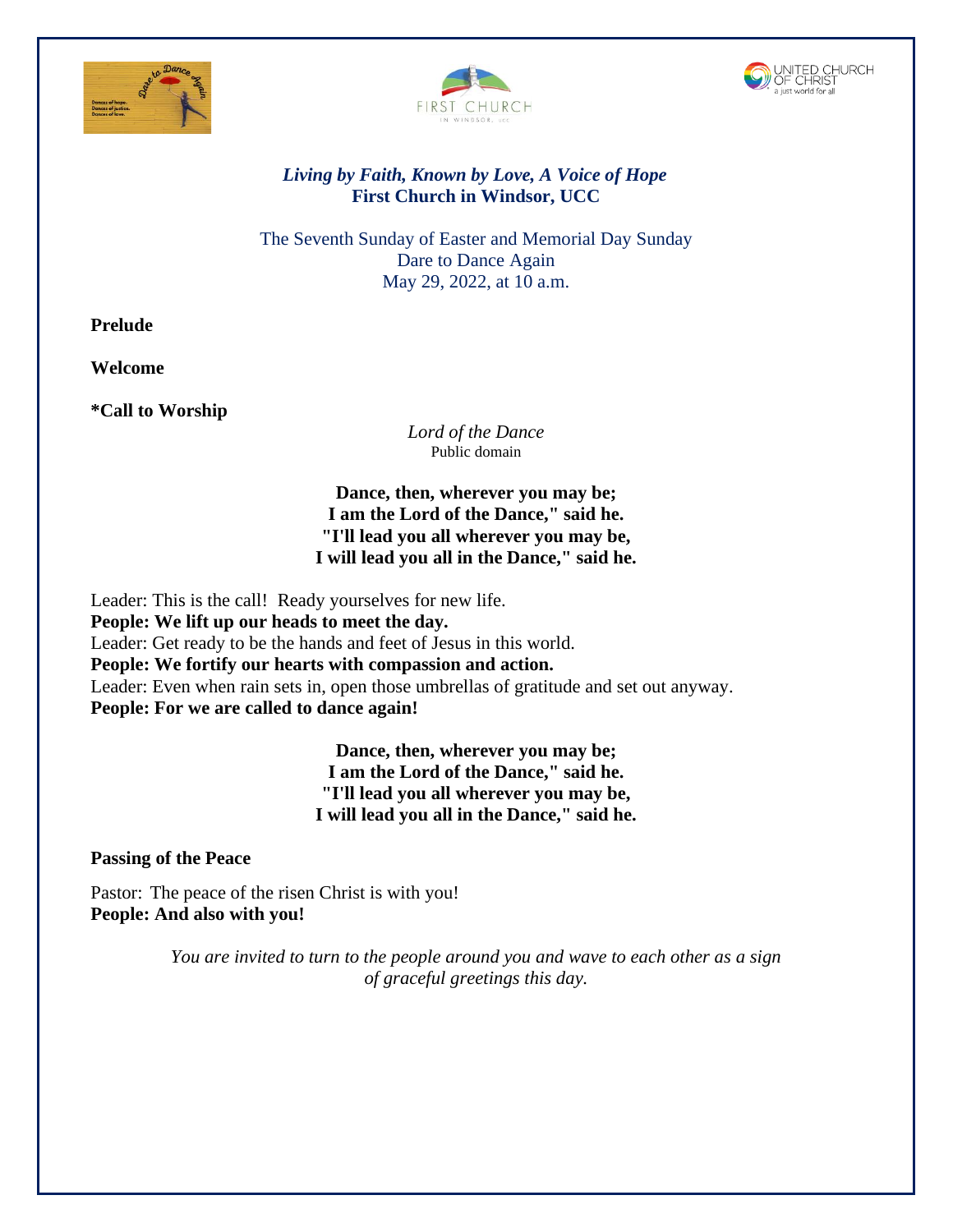





## *Living by Faith, Known by Love, A Voice of Hope* **First Church in Windsor, UCC**

The Seventh Sunday of Easter and Memorial Day Sunday Dare to Dance Again May 29, 2022, at 10 a.m.

**Prelude**

**Welcome**

**\*Call to Worship** 

*Lord of the Dance* Public domain

**Dance, then, wherever you may be; I am the Lord of the Dance," said he. "I'll lead you all wherever you may be, I will lead you all in the Dance," said he.**

Leader: This is the call! Ready yourselves for new life. **People: We lift up our heads to meet the day.** Leader: Get ready to be the hands and feet of Jesus in this world. **People: We fortify our hearts with compassion and action.** Leader: Even when rain sets in, open those umbrellas of gratitude and set out anyway. **People: For we are called to dance again!**

> **Dance, then, wherever you may be; I am the Lord of the Dance," said he. "I'll lead you all wherever you may be, I will lead you all in the Dance," said he.**

**Passing of the Peace**

Pastor: The peace of the risen Christ is with you! **People: And also with you!**

> *You are invited to turn to the people around you and wave to each other as a sign of graceful greetings this day.*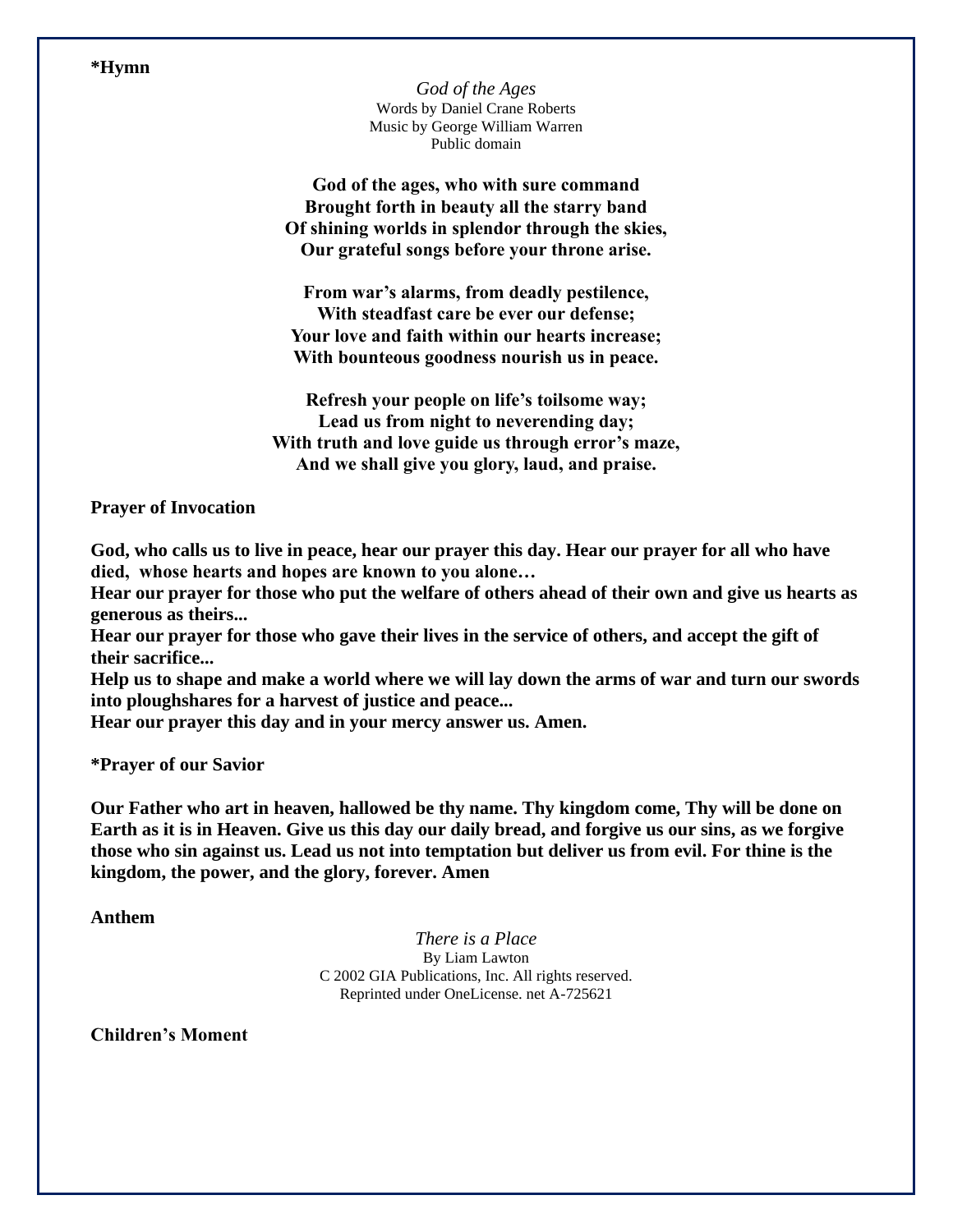**\*Hymn**

*God of the Ages*  Words by Daniel Crane Roberts Music by George William Warren Public domain

**God of the ages, who with sure command Brought forth in beauty all the starry band Of shining worlds in splendor through the skies, Our grateful songs before your throne arise.**

**From war's alarms, from deadly pestilence, With steadfast care be ever our defense; Your love and faith within our hearts increase; With bounteous goodness nourish us in peace.**

**Refresh your people on life's toilsome way; Lead us from night to neverending day; With truth and love guide us through error's maze, And we shall give you glory, laud, and praise.**

**Prayer of Invocation**

**God, who calls us to live in peace, hear our prayer this day. Hear our prayer for all who have died, whose hearts and hopes are known to you alone…**

**Hear our prayer for those who put the welfare of others ahead of their own and give us hearts as generous as theirs...**

**Hear our prayer for those who gave their lives in the service of others, and accept the gift of their sacrifice...**

**Help us to shape and make a world where we will lay down the arms of war and turn our swords into ploughshares for a harvest of justice and peace...**

**Hear our prayer this day and in your mercy answer us. Amen.**

**\*Prayer of our Savior**

**Our Father who art in heaven, hallowed be thy name. Thy kingdom come, Thy will be done on Earth as it is in Heaven. Give us this day our daily bread, and forgive us our sins, as we forgive those who sin against us. Lead us not into temptation but deliver us from evil. For thine is the kingdom, the power, and the glory, forever. Amen**

**Anthem**

*There is a Place* By Liam Lawton C 2002 GIA Publications, Inc. All rights reserved. Reprinted under OneLicense. net A-725621

**Children's Moment**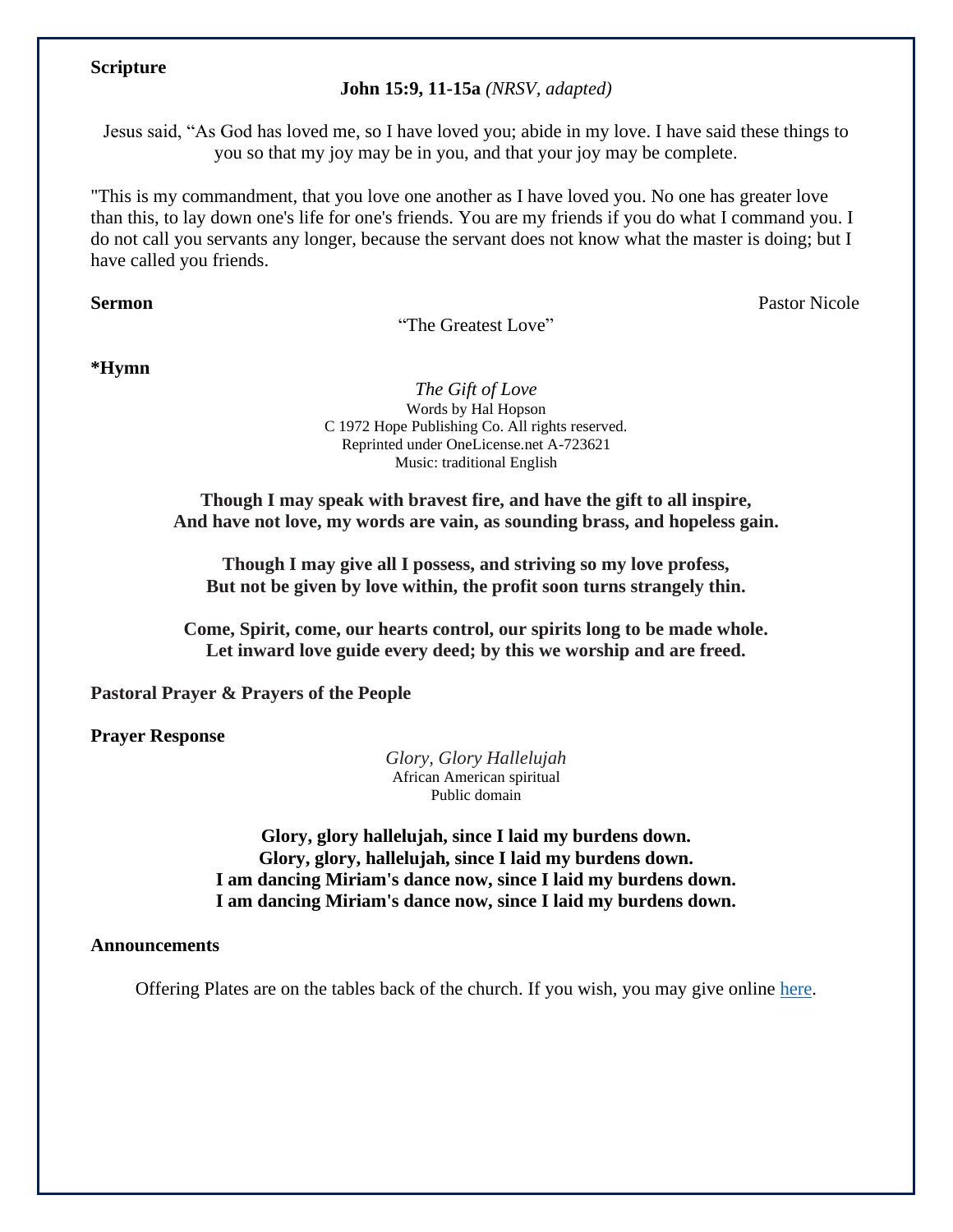## **Scripture**

**John 15:9, 11-15a** *(NRSV, adapted)*

Jesus said, "As God has loved me, so I have loved you; abide in my love. I have said these things to you so that my joy may be in you, and that your joy may be complete.

"This is my commandment, that you love one another as I have loved you. No one has greater love than this, to lay down one's life for one's friends. You are my friends if you do what I command you. I do not call you servants any longer, because the servant does not know what the master is doing; but I have called you friends.

## **Sermon** Pastor Nicole

"The Greatest Love"

**\*Hymn** 

*The Gift of Love*  Words by Hal Hopson C 1972 Hope Publishing Co. All rights reserved. Reprinted under OneLicense.net A-723621 Music: traditional English

**Though I may speak with bravest fire, and have the gift to all inspire, And have not love, my words are vain, as sounding brass, and hopeless gain.**

**Though I may give all I possess, and striving so my love profess, But not be given by love within, the profit soon turns strangely thin.**

**Come, Spirit, come, our hearts control, our spirits long to be made whole. Let inward love guide every deed; by this we worship and are freed.**

**Pastoral Prayer & Prayers of the People** 

**Prayer Response** 

*Glory, Glory Hallelujah* African American spiritual Public domain

**Glory, glory hallelujah, since I laid my burdens down. Glory, glory, hallelujah, since I laid my burdens down. I am dancing Miriam's dance now, since I laid my burdens down. I am dancing Miriam's dance now, since I laid my burdens down.**

**Announcements**

Offering Plates are on the tables back of the church. If you wish, you may give online [here.](https://www.eservicepayments.com/cgi-bin/Vanco_ver3.vps?appver3=tYgT1GfNxRUldiimjHMvOd2KF4BvMKR-ja0anVeTG_VskSODEa-Up5lt373GHnco2evTpo0mld6BrVzd2nG0px7lViKGoqF0eMUCzPrgDSw=&ver=3)